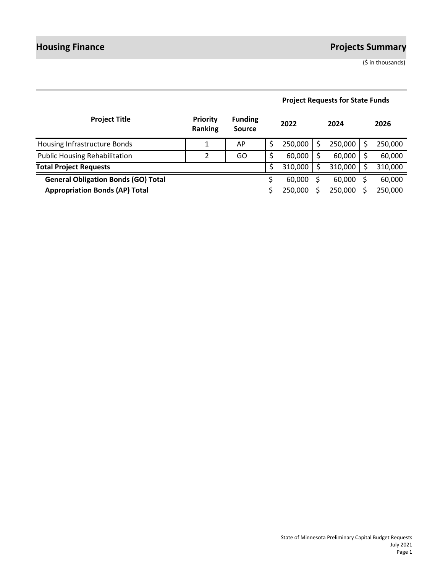# **Housing Finance Projects Summary**

(\$ in thousands)

| <b>Project Title</b>                       | <b>Priority</b><br><b>Ranking</b> | <b>Funding</b><br><b>Source</b> | 2022    | 2024    | 2026    |
|--------------------------------------------|-----------------------------------|---------------------------------|---------|---------|---------|
| Housing Infrastructure Bonds               |                                   | AP                              | 250,000 | 250,000 | 250,000 |
| <b>Public Housing Rehabilitation</b>       | 2                                 | GO                              | 60,000  | 60,000  | 60,000  |
| <b>Total Project Requests</b>              |                                   |                                 | 310,000 | 310,000 | 310,000 |
| <b>General Obligation Bonds (GO) Total</b> |                                   |                                 | 60,000  | 60,000  | 60,000  |
| <b>Appropriation Bonds (AP) Total</b>      |                                   |                                 | 250,000 | 250,000 | 250,000 |

# **Project Requests for State Funds**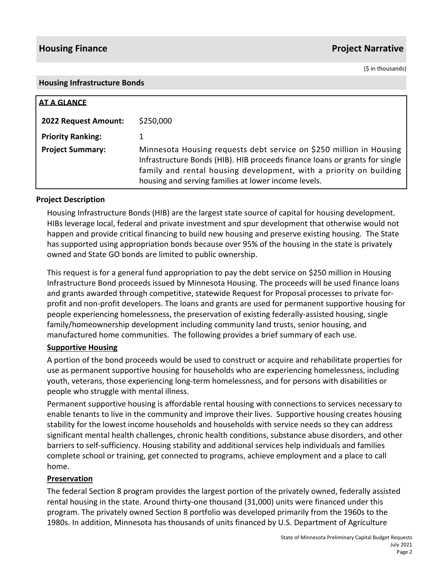# **Housing Finance Project Narrative**

(\$ in thousands)

#### **Housing Infrastructure Bonds**

| <b>AT A GLANCE</b>       |                                                                                                                                                                                                                                                                                  |  |  |  |
|--------------------------|----------------------------------------------------------------------------------------------------------------------------------------------------------------------------------------------------------------------------------------------------------------------------------|--|--|--|
| 2022 Request Amount:     | \$250,000                                                                                                                                                                                                                                                                        |  |  |  |
| <b>Priority Ranking:</b> |                                                                                                                                                                                                                                                                                  |  |  |  |
| <b>Project Summary:</b>  | Minnesota Housing requests debt service on \$250 million in Housing<br>Infrastructure Bonds (HIB). HIB proceeds finance loans or grants for single<br>family and rental housing development, with a priority on building<br>housing and serving families at lower income levels. |  |  |  |

#### **Project Description**

Housing Infrastructure Bonds (HIB) are the largest state source of capital for housing development. HIBs leverage local, federal and private investment and spur development that otherwise would not happen and provide critical financing to build new housing and preserve existing housing. The State has supported using appropriation bonds because over 95% of the housing in the state is privately owned and State GO bonds are limited to public ownership.

This request is for a general fund appropriation to pay the debt service on \$250 million in Housing Infrastructure Bond proceeds issued by Minnesota Housing. The proceeds will be used finance loans and grants awarded through competitive, statewide Request for Proposal processes to private forprofit and non-profit developers. The loans and grants are used for permanent supportive housing for people experiencing homelessness, the preservation of existing federally-assisted housing, single family/homeownership development including community land trusts, senior housing, and manufactured home communities. The following provides a brief summary of each use.

## **Supportive Housing**

A portion of the bond proceeds would be used to construct or acquire and rehabilitate properties for use as permanent supportive housing for households who are experiencing homelessness, including youth, veterans, those experiencing long-term homelessness, and for persons with disabilities or people who struggle with mental illness.

Permanent supportive housing is affordable rental housing with connections to services necessary to enable tenants to live in the community and improve their lives. Supportive housing creates housing stability for the lowest income households and households with service needs so they can address significant mental health challenges, chronic health conditions, substance abuse disorders, and other barriers to self-sufficiency. Housing stability and additional services help individuals and families complete school or training, get connected to programs, achieve employment and a place to call home.

## **Preservation**

The federal Section 8 program provides the largest portion of the privately owned, federally assisted rental housing in the state. Around thirty-one thousand (31,000) units were financed under this program. The privately owned Section 8 portfolio was developed primarily from the 1960s to the 1980s. In addition, Minnesota has thousands of units financed by U.S. Department of Agriculture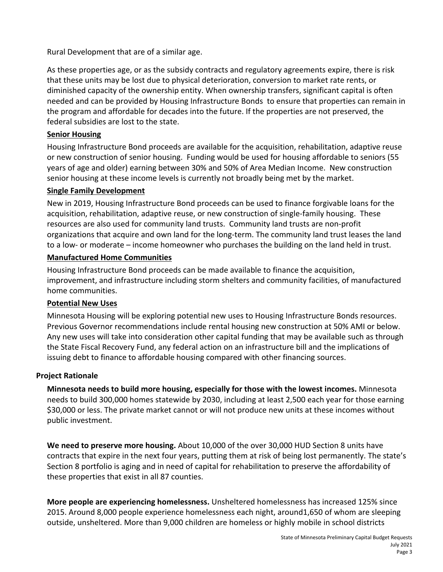Rural Development that are of a similar age.

As these properties age, or as the subsidy contracts and regulatory agreements expire, there is risk that these units may be lost due to physical deterioration, conversion to market rate rents, or diminished capacity of the ownership entity. When ownership transfers, significant capital is often needed and can be provided by Housing Infrastructure Bonds to ensure that properties can remain in the program and affordable for decades into the future. If the properties are not preserved, the federal subsidies are lost to the state.

# **Senior Housing**

Housing Infrastructure Bond proceeds are available for the acquisition, rehabilitation, adaptive reuse or new construction of senior housing. Funding would be used for housing affordable to seniors (55 years of age and older) earning between 30% and 50% of Area Median Income. New construction senior housing at these income levels is currently not broadly being met by the market.

# **Single Family Development**

New in 2019, Housing Infrastructure Bond proceeds can be used to finance forgivable loans for the acquisition, rehabilitation, adaptive reuse, or new construction of single-family housing. These resources are also used for community land trusts. Community land trusts are non-profit organizations that acquire and own land for the long-term. The community land trust leases the land to a low- or moderate – income homeowner who purchases the building on the land held in trust.

# **Manufactured Home Communities**

Housing Infrastructure Bond proceeds can be made available to finance the acquisition, improvement, and infrastructure including storm shelters and community facilities, of manufactured home communities.

## **Potential New Uses**

Minnesota Housing will be exploring potential new uses to Housing Infrastructure Bonds resources. Previous Governor recommendations include rental housing new construction at 50% AMI or below. Any new uses will take into consideration other capital funding that may be available such as through the State Fiscal Recovery Fund, any federal action on an infrastructure bill and the implications of issuing debt to finance to affordable housing compared with other financing sources.

# **Project Rationale**

**Minnesota needs to build more housing, especially for those with the lowest incomes.** Minnesota needs to build 300,000 homes statewide by 2030, including at least 2,500 each year for those earning \$30,000 or less. The private market cannot or will not produce new units at these incomes without public investment.

**We need to preserve more housing.** About 10,000 of the over 30,000 HUD Section 8 units have contracts that expire in the next four years, putting them at risk of being lost permanently. The state's Section 8 portfolio is aging and in need of capital for rehabilitation to preserve the affordability of these properties that exist in all 87 counties.

**More people are experiencing homelessness.** Unsheltered homelessness has increased 125% since 2015. Around 8,000 people experience homelessness each night, around1,650 of whom are sleeping outside, unsheltered. More than 9,000 children are homeless or highly mobile in school districts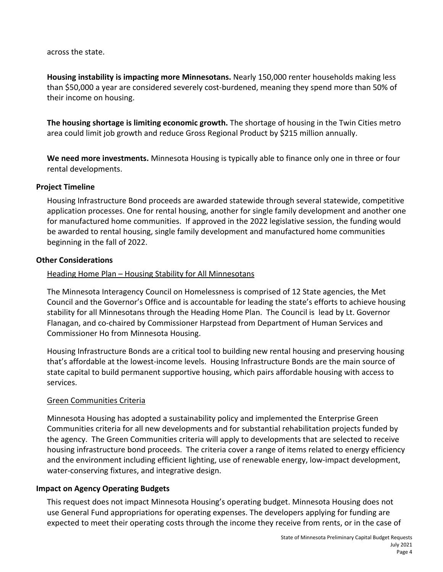across the state.

**Housing instability is impacting more Minnesotans.** Nearly 150,000 renter households making less than \$50,000 a year are considered severely cost-burdened, meaning they spend more than 50% of their income on housing.

**The housing shortage is limiting economic growth.** The shortage of housing in the Twin Cities metro area could limit job growth and reduce Gross Regional Product by \$215 million annually.

**We need more investments.** Minnesota Housing is typically able to finance only one in three or four rental developments.

## **Project Timeline**

Housing Infrastructure Bond proceeds are awarded statewide through several statewide, competitive application processes. One for rental housing, another for single family development and another one for manufactured home communities. If approved in the 2022 legislative session, the funding would be awarded to rental housing, single family development and manufactured home communities beginning in the fall of 2022.

#### **Other Considerations**

## Heading Home Plan – Housing Stability for All Minnesotans

The Minnesota Interagency Council on Homelessness is comprised of 12 State agencies, the Met Council and the Governor's Office and is accountable for leading the state's efforts to achieve housing stability for all Minnesotans through the Heading Home Plan. The Council is lead by Lt. Governor Flanagan, and co-chaired by Commissioner Harpstead from Department of Human Services and Commissioner Ho from Minnesota Housing.

Housing Infrastructure Bonds are a critical tool to building new rental housing and preserving housing that's affordable at the lowest-income levels. Housing Infrastructure Bonds are the main source of state capital to build permanent supportive housing, which pairs affordable housing with access to services.

## Green Communities Criteria

Minnesota Housing has adopted a sustainability policy and implemented the Enterprise Green Communities criteria for all new developments and for substantial rehabilitation projects funded by the agency. The Green Communities criteria will apply to developments that are selected to receive housing infrastructure bond proceeds. The criteria cover a range of items related to energy efficiency and the environment including efficient lighting, use of renewable energy, low-impact development, water-conserving fixtures, and integrative design.

## **Impact on Agency Operating Budgets**

This request does not impact Minnesota Housing's operating budget. Minnesota Housing does not use General Fund appropriations for operating expenses. The developers applying for funding are expected to meet their operating costs through the income they receive from rents, or in the case of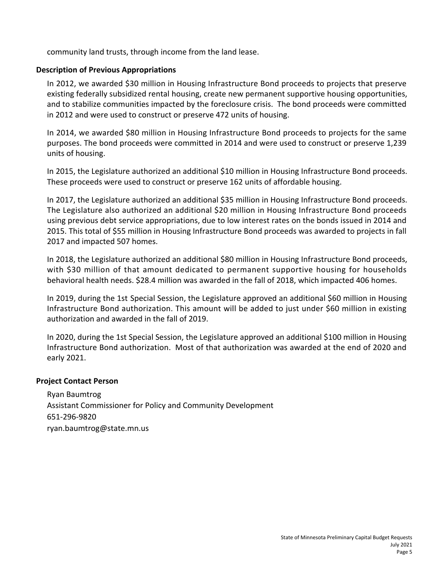community land trusts, through income from the land lease.

#### **Description of Previous Appropriations**

In 2012, we awarded \$30 million in Housing Infrastructure Bond proceeds to projects that preserve existing federally subsidized rental housing, create new permanent supportive housing opportunities, and to stabilize communities impacted by the foreclosure crisis. The bond proceeds were committed in 2012 and were used to construct or preserve 472 units of housing.

In 2014, we awarded \$80 million in Housing Infrastructure Bond proceeds to projects for the same purposes. The bond proceeds were committed in 2014 and were used to construct or preserve 1,239 units of housing.

In 2015, the Legislature authorized an additional \$10 million in Housing Infrastructure Bond proceeds. These proceeds were used to construct or preserve 162 units of affordable housing.

In 2017, the Legislature authorized an additional \$35 million in Housing Infrastructure Bond proceeds. The Legislature also authorized an additional \$20 million in Housing Infrastructure Bond proceeds using previous debt service appropriations, due to low interest rates on the bonds issued in 2014 and 2015. This total of \$55 million in Housing Infrastructure Bond proceeds was awarded to projects in fall 2017 and impacted 507 homes.

In 2018, the Legislature authorized an additional \$80 million in Housing Infrastructure Bond proceeds, with \$30 million of that amount dedicated to permanent supportive housing for households behavioral health needs. \$28.4 million was awarded in the fall of 2018, which impacted 406 homes.

In 2019, during the 1st Special Session, the Legislature approved an additional \$60 million in Housing Infrastructure Bond authorization. This amount will be added to just under \$60 million in existing authorization and awarded in the fall of 2019.

In 2020, during the 1st Special Session, the Legislature approved an additional \$100 million in Housing Infrastructure Bond authorization. Most of that authorization was awarded at the end of 2020 and early 2021.

#### **Project Contact Person**

Ryan Baumtrog Assistant Commissioner for Policy and Community Development 651-296-9820 ryan.baumtrog@state.mn.us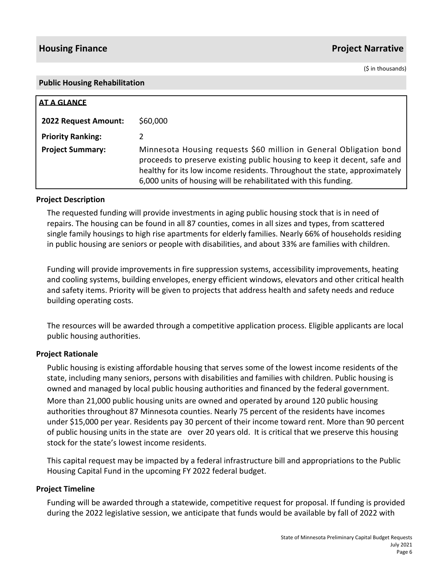# **Housing Finance Project Narrative**

(\$ in thousands)

#### **Public Housing Rehabilitation**

| AT A GLANCE                 |                                                                                                                                                                                                                                                                                                |
|-----------------------------|------------------------------------------------------------------------------------------------------------------------------------------------------------------------------------------------------------------------------------------------------------------------------------------------|
| <b>2022 Request Amount:</b> | \$60,000                                                                                                                                                                                                                                                                                       |
| <b>Priority Ranking:</b>    |                                                                                                                                                                                                                                                                                                |
| <b>Project Summary:</b>     | Minnesota Housing requests \$60 million in General Obligation bond<br>proceeds to preserve existing public housing to keep it decent, safe and<br>healthy for its low income residents. Throughout the state, approximately<br>6,000 units of housing will be rehabilitated with this funding. |

#### **Project Description**

The requested funding will provide investments in aging public housing stock that is in need of repairs. The housing can be found in all 87 counties, comes in all sizes and types, from scattered single family housings to high rise apartments for elderly families. Nearly 66% of households residing in public housing are seniors or people with disabilities, and about 33% are families with children.

Funding will provide improvements in fire suppression systems, accessibility improvements, heating and cooling systems, building envelopes, energy efficient windows, elevators and other critical health and safety items. Priority will be given to projects that address health and safety needs and reduce building operating costs.

The resources will be awarded through a competitive application process. Eligible applicants are local public housing authorities.

#### **Project Rationale**

Public housing is existing affordable housing that serves some of the lowest income residents of the state, including many seniors, persons with disabilities and families with children. Public housing is owned and managed by local public housing authorities and financed by the federal government.

More than 21,000 public housing units are owned and operated by around 120 public housing authorities throughout 87 Minnesota counties. Nearly 75 percent of the residents have incomes under \$15,000 per year. Residents pay 30 percent of their income toward rent. More than 90 percent of public housing units in the state are over 20 years old. It is critical that we preserve this housing stock for the state's lowest income residents.

This capital request may be impacted by a federal infrastructure bill and appropriations to the Public Housing Capital Fund in the upcoming FY 2022 federal budget.

#### **Project Timeline**

Funding will be awarded through a statewide, competitive request for proposal. If funding is provided during the 2022 legislative session, we anticipate that funds would be available by fall of 2022 with